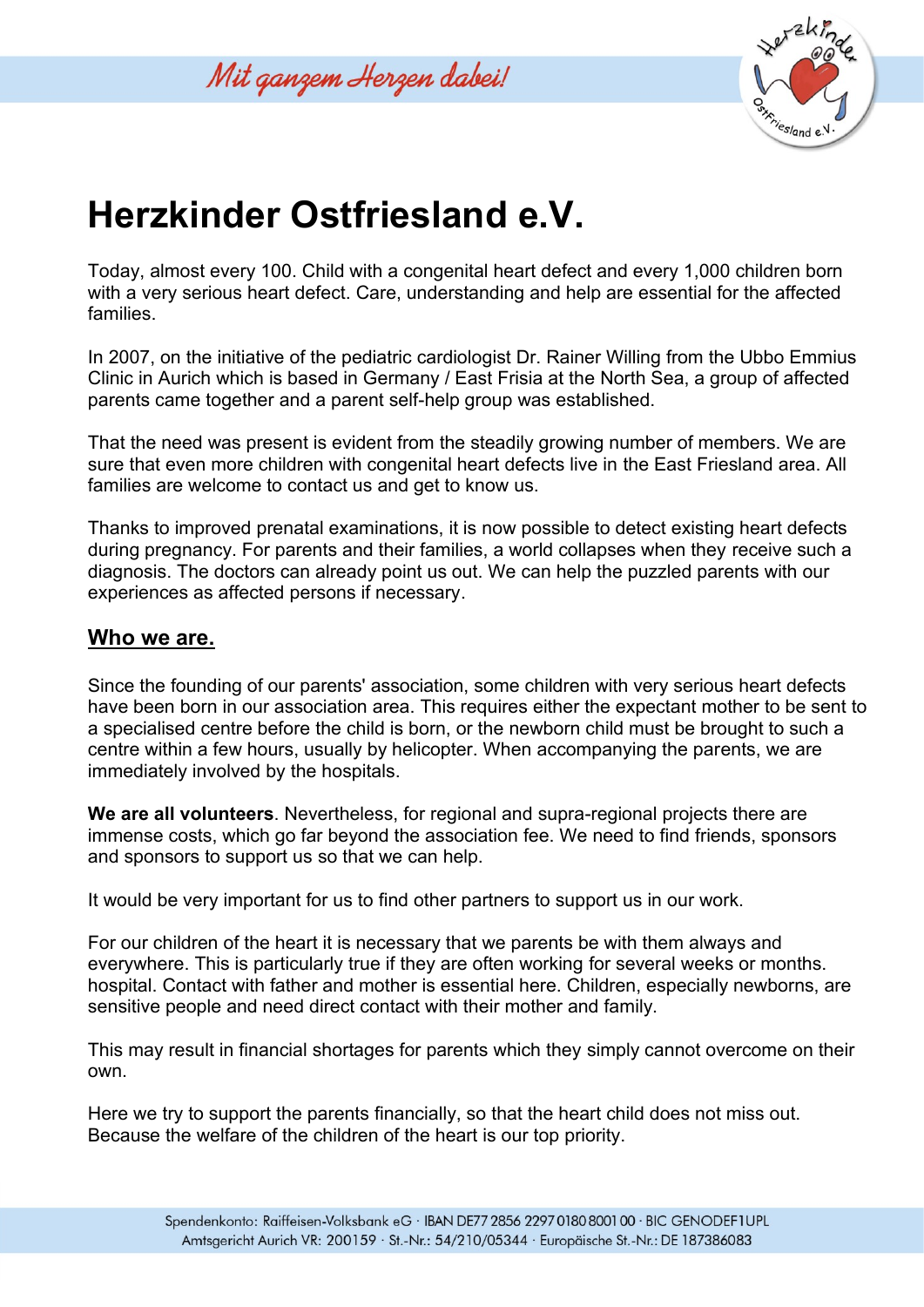

## **Herzkinder Ostfriesland e.V.**

Today, almost every 100. Child with a congenital heart defect and every 1,000 children born with a very serious heart defect. Care, understanding and help are essential for the affected families.

In 2007, on the initiative of the pediatric cardiologist Dr. Rainer Willing from the Ubbo Emmius Clinic in Aurich which is based in Germany / East Frisia at the North Sea, a group of affected parents came together and a parent self-help group was established.

That the need was present is evident from the steadily growing number of members. We are sure that even more children with congenital heart defects live in the East Friesland area. All families are welcome to contact us and get to know us.

Thanks to improved prenatal examinations, it is now possible to detect existing heart defects during pregnancy. For parents and their families, a world collapses when they receive such a diagnosis. The doctors can already point us out. We can help the puzzled parents with our experiences as affected persons if necessary.

## **Who we are.**

Since the founding of our parents' association, some children with very serious heart defects have been born in our association area. This requires either the expectant mother to be sent to a specialised centre before the child is born, or the newborn child must be brought to such a centre within a few hours, usually by helicopter. When accompanying the parents, we are immediately involved by the hospitals.

**We are all volunteers**. Nevertheless, for regional and supra-regional projects there are immense costs, which go far beyond the association fee. We need to find friends, sponsors and sponsors to support us so that we can help.

It would be very important for us to find other partners to support us in our work.

For our children of the heart it is necessary that we parents be with them always and everywhere. This is particularly true if they are often working for several weeks or months. hospital. Contact with father and mother is essential here. Children, especially newborns, are sensitive people and need direct contact with their mother and family.

This may result in financial shortages for parents which they simply cannot overcome on their own.

Here we try to support the parents financially, so that the heart child does not miss out. Because the welfare of the children of the heart is our top priority.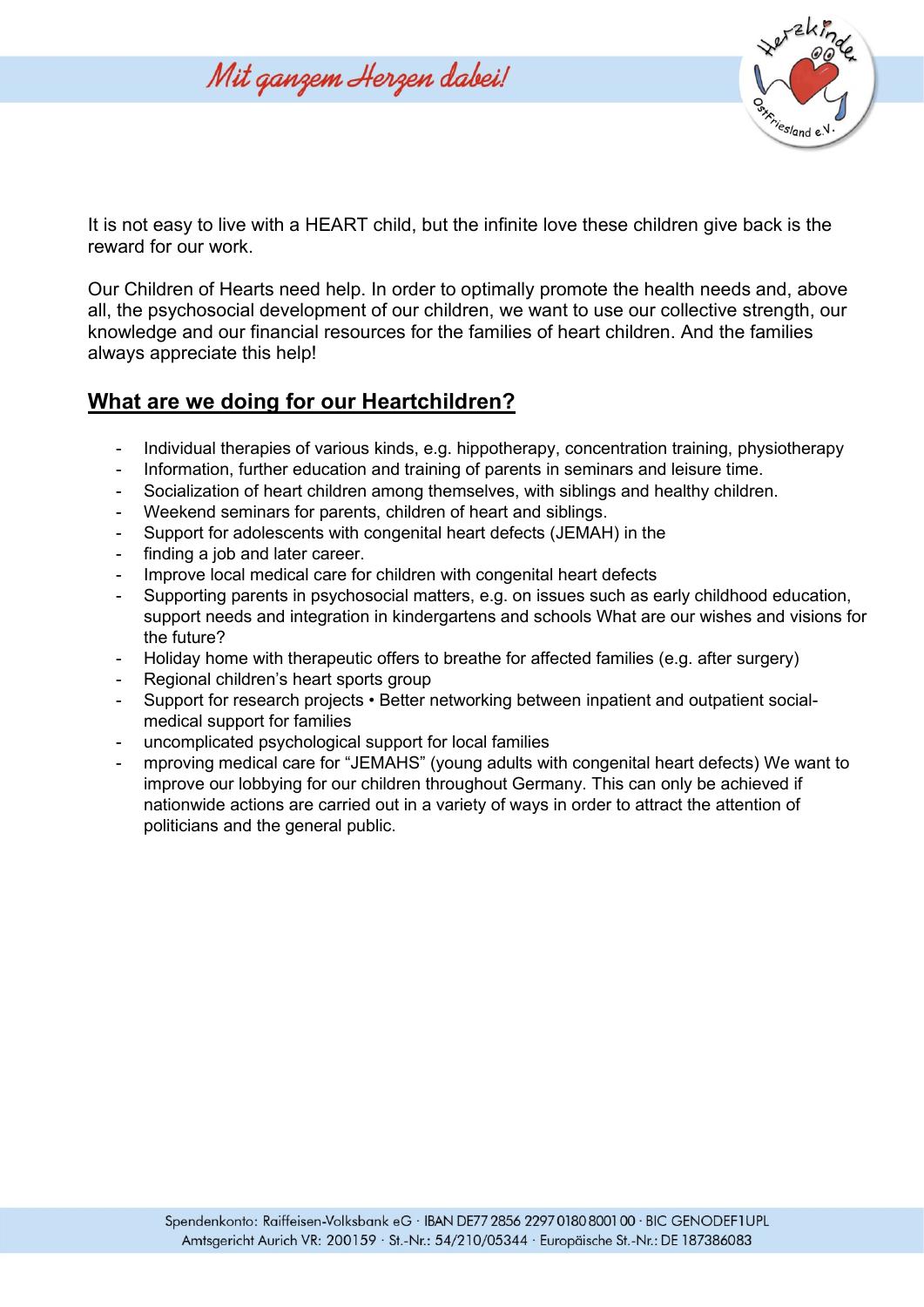Mit ganzem Herzen dabei!



It is not easy to live with a HEART child, but the infinite love these children give back is the reward for our work.

Our Children of Hearts need help. In order to optimally promote the health needs and, above all, the psychosocial development of our children, we want to use our collective strength, our knowledge and our financial resources for the families of heart children. And the families always appreciate this help!

## **What are we doing for our Heartchildren?**

- Individual therapies of various kinds, e.g. hippotherapy, concentration training, physiotherapy
- Information, further education and training of parents in seminars and leisure time.
- Socialization of heart children among themselves, with siblings and healthy children.
- Weekend seminars for parents, children of heart and siblings.
- Support for adolescents with congenital heart defects (JEMAH) in the
- finding a job and later career.
- Improve local medical care for children with congenital heart defects
- Supporting parents in psychosocial matters, e.g. on issues such as early childhood education, support needs and integration in kindergartens and schools What are our wishes and visions for the future?
- Holiday home with therapeutic offers to breathe for affected families (e.g. after surgery)
- Regional children's heart sports group
- Support for research projects Better networking between inpatient and outpatient socialmedical support for families
- uncomplicated psychological support for local families
- mproving medical care for "JEMAHS" (young adults with congenital heart defects) We want to improve our lobbying for our children throughout Germany. This can only be achieved if nationwide actions are carried out in a variety of ways in order to attract the attention of politicians and the general public.